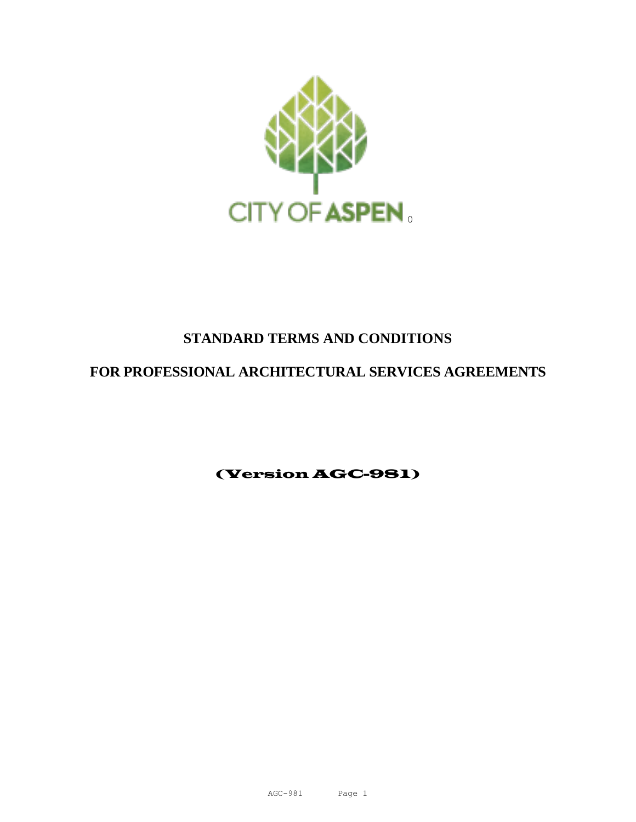

# **STANDARD TERMS AND CONDITIONS**

# **FOR PROFESSIONAL ARCHITECTURAL SERVICES AGREEMENTS**

(Version AGC-981)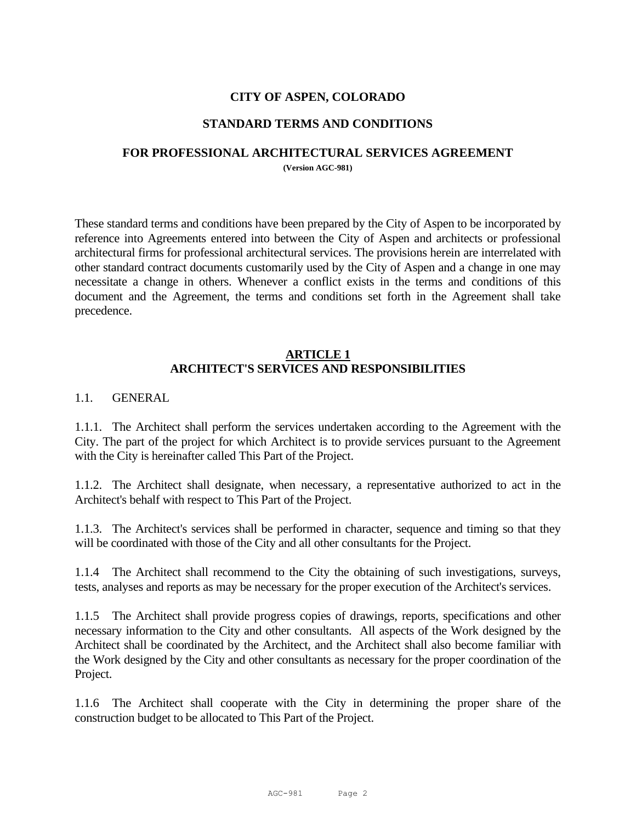# **CITY OF ASPEN, COLORADO**

#### **STANDARD TERMS AND CONDITIONS**

## **FOR PROFESSIONAL ARCHITECTURAL SERVICES AGREEMENT (Version AGC-981)**

These standard terms and conditions have been prepared by the City of Aspen to be incorporated by reference into Agreements entered into between the City of Aspen and architects or professional architectural firms for professional architectural services. The provisions herein are interrelated with other standard contract documents customarily used by the City of Aspen and a change in one may necessitate a change in others. Whenever a conflict exists in the terms and conditions of this document and the Agreement, the terms and conditions set forth in the Agreement shall take precedence.

## **ARTICLE 1 ARCHITECT'S SERVICES AND RESPONSIBILITIES**

#### 1.1. GENERAL

1.1.1. The Architect shall perform the services undertaken according to the Agreement with the City. The part of the project for which Architect is to provide services pursuant to the Agreement with the City is hereinafter called This Part of the Project.

1.1.2. The Architect shall designate, when necessary, a representative authorized to act in the Architect's behalf with respect to This Part of the Project.

1.1.3. The Architect's services shall be performed in character, sequence and timing so that they will be coordinated with those of the City and all other consultants for the Project.

1.1.4 The Architect shall recommend to the City the obtaining of such investigations, surveys, tests, analyses and reports as may be necessary for the proper execution of the Architect's services.

1.1.5 The Architect shall provide progress copies of drawings, reports, specifications and other necessary information to the City and other consultants. All aspects of the Work designed by the Architect shall be coordinated by the Architect, and the Architect shall also become familiar with the Work designed by the City and other consultants as necessary for the proper coordination of the Project.

1.1.6 The Architect shall cooperate with the City in determining the proper share of the construction budget to be allocated to This Part of the Project.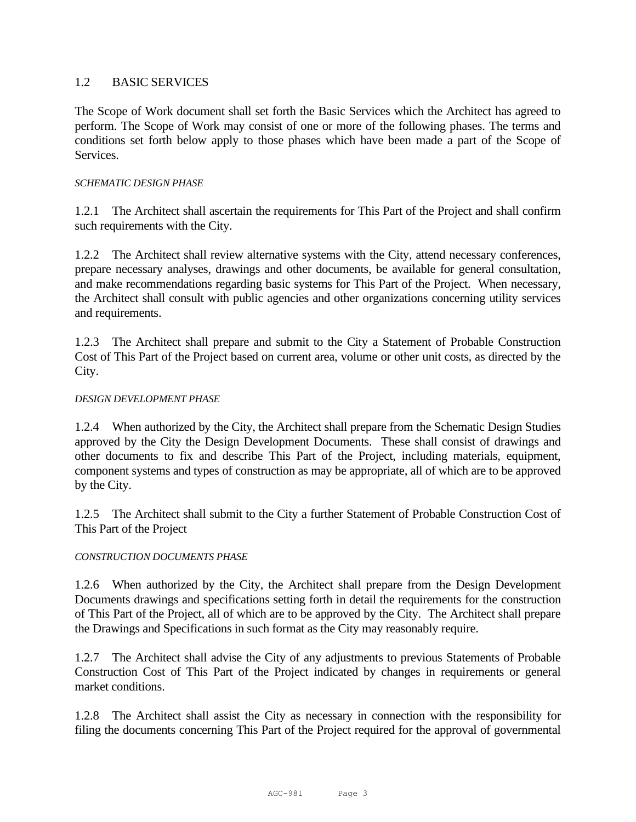# 1.2 BASIC SERVICES

The Scope of Work document shall set forth the Basic Services which the Architect has agreed to perform. The Scope of Work may consist of one or more of the following phases. The terms and conditions set forth below apply to those phases which have been made a part of the Scope of Services.

## *SCHEMATIC DESIGN PHASE*

1.2.1 The Architect shall ascertain the requirements for This Part of the Project and shall confirm such requirements with the City.

1.2.2 The Architect shall review alternative systems with the City, attend necessary conferences, prepare necessary analyses, drawings and other documents, be available for general consultation, and make recommendations regarding basic systems for This Part of the Project. When necessary, the Architect shall consult with public agencies and other organizations concerning utility services and requirements.

1.2.3 The Architect shall prepare and submit to the City a Statement of Probable Construction Cost of This Part of the Project based on current area, volume or other unit costs, as directed by the City.

#### *DESIGN DEVELOPMENT PHASE*

1.2.4 When authorized by the City, the Architect shall prepare from the Schematic Design Studies approved by the City the Design Development Documents. These shall consist of drawings and other documents to fix and describe This Part of the Project, including materials, equipment, component systems and types of construction as may be appropriate, all of which are to be approved by the City.

1.2.5 The Architect shall submit to the City a further Statement of Probable Construction Cost of This Part of the Project

#### *CONSTRUCTION DOCUMENTS PHASE*

1.2.6 When authorized by the City, the Architect shall prepare from the Design Development Documents drawings and specifications setting forth in detail the requirements for the construction of This Part of the Project, all of which are to be approved by the City. The Architect shall prepare the Drawings and Specifications in such format as the City may reasonably require.

1.2.7 The Architect shall advise the City of any adjustments to previous Statements of Probable Construction Cost of This Part of the Project indicated by changes in requirements or general market conditions.

1.2.8 The Architect shall assist the City as necessary in connection with the responsibility for filing the documents concerning This Part of the Project required for the approval of governmental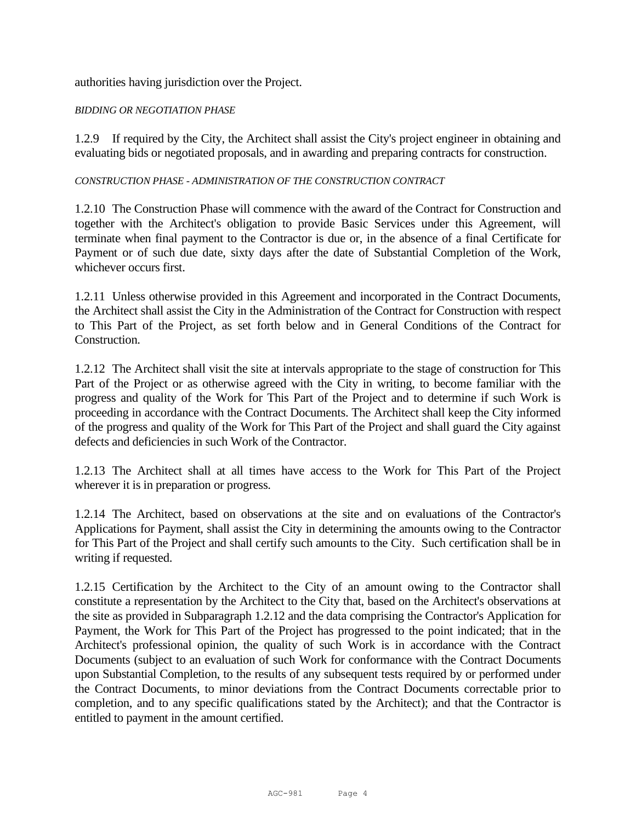authorities having jurisdiction over the Project.

#### *BIDDING OR NEGOTIATION PHASE*

1.2.9 If required by the City, the Architect shall assist the City's project engineer in obtaining and evaluating bids or negotiated proposals, and in awarding and preparing contracts for construction.

#### *CONSTRUCTION PHASE - ADMINISTRATION OF THE CONSTRUCTION CONTRACT*

1.2.10 The Construction Phase will commence with the award of the Contract for Construction and together with the Architect's obligation to provide Basic Services under this Agreement, will terminate when final payment to the Contractor is due or, in the absence of a final Certificate for Payment or of such due date, sixty days after the date of Substantial Completion of the Work, whichever occurs first.

1.2.11 Unless otherwise provided in this Agreement and incorporated in the Contract Documents, the Architect shall assist the City in the Administration of the Contract for Construction with respect to This Part of the Project, as set forth below and in General Conditions of the Contract for Construction.

1.2.12 The Architect shall visit the site at intervals appropriate to the stage of construction for This Part of the Project or as otherwise agreed with the City in writing, to become familiar with the progress and quality of the Work for This Part of the Project and to determine if such Work is proceeding in accordance with the Contract Documents. The Architect shall keep the City informed of the progress and quality of the Work for This Part of the Project and shall guard the City against defects and deficiencies in such Work of the Contractor.

1.2.13 The Architect shall at all times have access to the Work for This Part of the Project wherever it is in preparation or progress.

1.2.14 The Architect, based on observations at the site and on evaluations of the Contractor's Applications for Payment, shall assist the City in determining the amounts owing to the Contractor for This Part of the Project and shall certify such amounts to the City. Such certification shall be in writing if requested.

1.2.15 Certification by the Architect to the City of an amount owing to the Contractor shall constitute a representation by the Architect to the City that, based on the Architect's observations at the site as provided in Subparagraph 1.2.12 and the data comprising the Contractor's Application for Payment, the Work for This Part of the Project has progressed to the point indicated; that in the Architect's professional opinion, the quality of such Work is in accordance with the Contract Documents (subject to an evaluation of such Work for conformance with the Contract Documents upon Substantial Completion, to the results of any subsequent tests required by or performed under the Contract Documents, to minor deviations from the Contract Documents correctable prior to completion, and to any specific qualifications stated by the Architect); and that the Contractor is entitled to payment in the amount certified.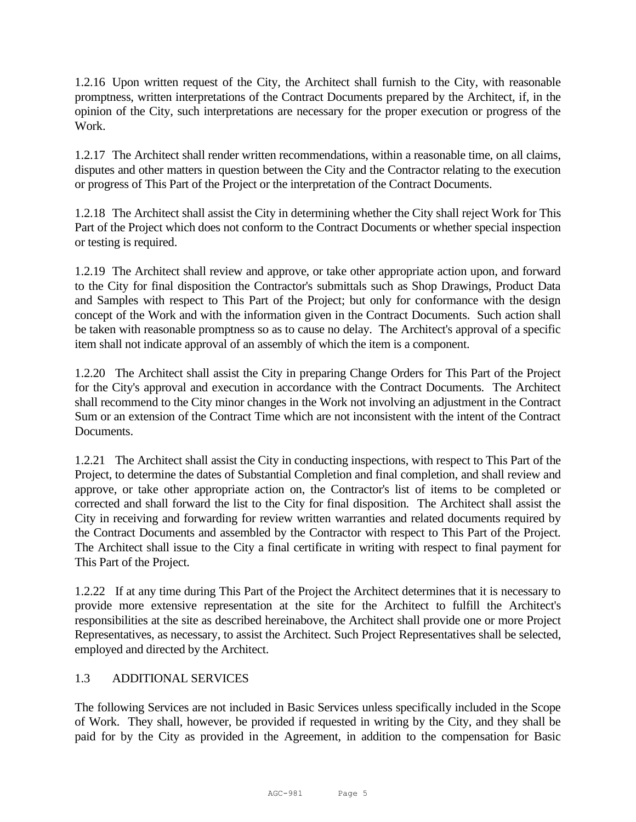1.2.16 Upon written request of the City, the Architect shall furnish to the City, with reasonable promptness, written interpretations of the Contract Documents prepared by the Architect, if, in the opinion of the City, such interpretations are necessary for the proper execution or progress of the Work.

1.2.17 The Architect shall render written recommendations, within a reasonable time, on all claims, disputes and other matters in question between the City and the Contractor relating to the execution or progress of This Part of the Project or the interpretation of the Contract Documents.

1.2.18 The Architect shall assist the City in determining whether the City shall reject Work for This Part of the Project which does not conform to the Contract Documents or whether special inspection or testing is required.

1.2.19 The Architect shall review and approve, or take other appropriate action upon, and forward to the City for final disposition the Contractor's submittals such as Shop Drawings, Product Data and Samples with respect to This Part of the Project; but only for conformance with the design concept of the Work and with the information given in the Contract Documents. Such action shall be taken with reasonable promptness so as to cause no delay. The Architect's approval of a specific item shall not indicate approval of an assembly of which the item is a component.

1.2.20 The Architect shall assist the City in preparing Change Orders for This Part of the Project for the City's approval and execution in accordance with the Contract Documents. The Architect shall recommend to the City minor changes in the Work not involving an adjustment in the Contract Sum or an extension of the Contract Time which are not inconsistent with the intent of the Contract Documents.

1.2.21 The Architect shall assist the City in conducting inspections, with respect to This Part of the Project, to determine the dates of Substantial Completion and final completion, and shall review and approve, or take other appropriate action on, the Contractor's list of items to be completed or corrected and shall forward the list to the City for final disposition. The Architect shall assist the City in receiving and forwarding for review written warranties and related documents required by the Contract Documents and assembled by the Contractor with respect to This Part of the Project. The Architect shall issue to the City a final certificate in writing with respect to final payment for This Part of the Project.

1.2.22 If at any time during This Part of the Project the Architect determines that it is necessary to provide more extensive representation at the site for the Architect to fulfill the Architect's responsibilities at the site as described hereinabove, the Architect shall provide one or more Project Representatives, as necessary, to assist the Architect. Such Project Representatives shall be selected, employed and directed by the Architect.

# 1.3 ADDITIONAL SERVICES

The following Services are not included in Basic Services unless specifically included in the Scope of Work. They shall, however, be provided if requested in writing by the City, and they shall be paid for by the City as provided in the Agreement, in addition to the compensation for Basic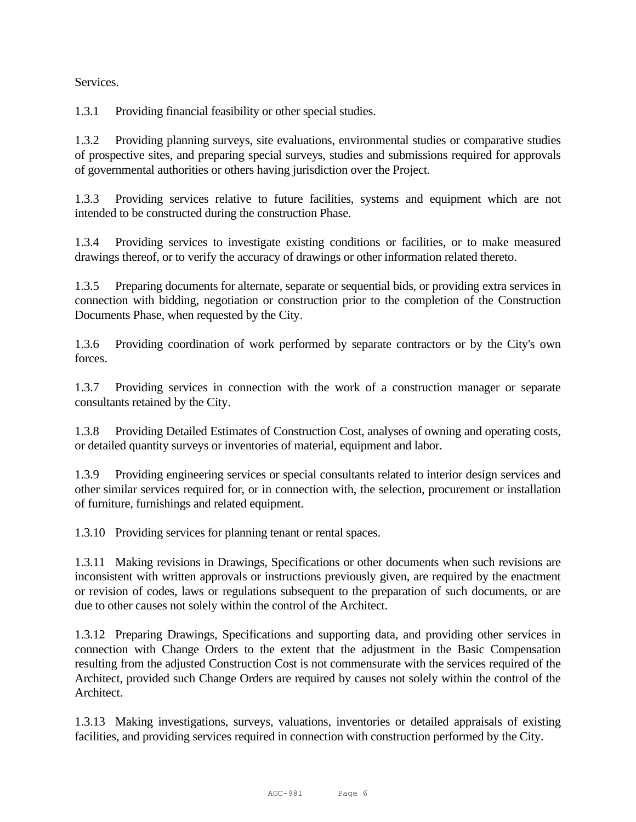Services.

1.3.1 Providing financial feasibility or other special studies.

1.3.2 Providing planning surveys, site evaluations, environmental studies or comparative studies of prospective sites, and preparing special surveys, studies and submissions required for approvals of governmental authorities or others having jurisdiction over the Project.

1.3.3 Providing services relative to future facilities, systems and equipment which are not intended to be constructed during the construction Phase.

1.3.4 Providing services to investigate existing conditions or facilities, or to make measured drawings thereof, or to verify the accuracy of drawings or other information related thereto.

1.3.5 Preparing documents for alternate, separate or sequential bids, or providing extra services in connection with bidding, negotiation or construction prior to the completion of the Construction Documents Phase, when requested by the City.

1.3.6 Providing coordination of work performed by separate contractors or by the City's own forces.

1.3.7 Providing services in connection with the work of a construction manager or separate consultants retained by the City.

1.3.8 Providing Detailed Estimates of Construction Cost, analyses of owning and operating costs, or detailed quantity surveys or inventories of material, equipment and labor.

1.3.9 Providing engineering services or special consultants related to interior design services and other similar services required for, or in connection with, the selection, procurement or installation of furniture, furnishings and related equipment.

1.3.10 Providing services for planning tenant or rental spaces.

1.3.11 Making revisions in Drawings, Specifications or other documents when such revisions are inconsistent with written approvals or instructions previously given, are required by the enactment or revision of codes, laws or regulations subsequent to the preparation of such documents, or are due to other causes not solely within the control of the Architect.

1.3.12 Preparing Drawings, Specifications and supporting data, and providing other services in connection with Change Orders to the extent that the adjustment in the Basic Compensation resulting from the adjusted Construction Cost is not commensurate with the services required of the Architect, provided such Change Orders are required by causes not solely within the control of the Architect.

1.3.13 Making investigations, surveys, valuations, inventories or detailed appraisals of existing facilities, and providing services required in connection with construction performed by the City.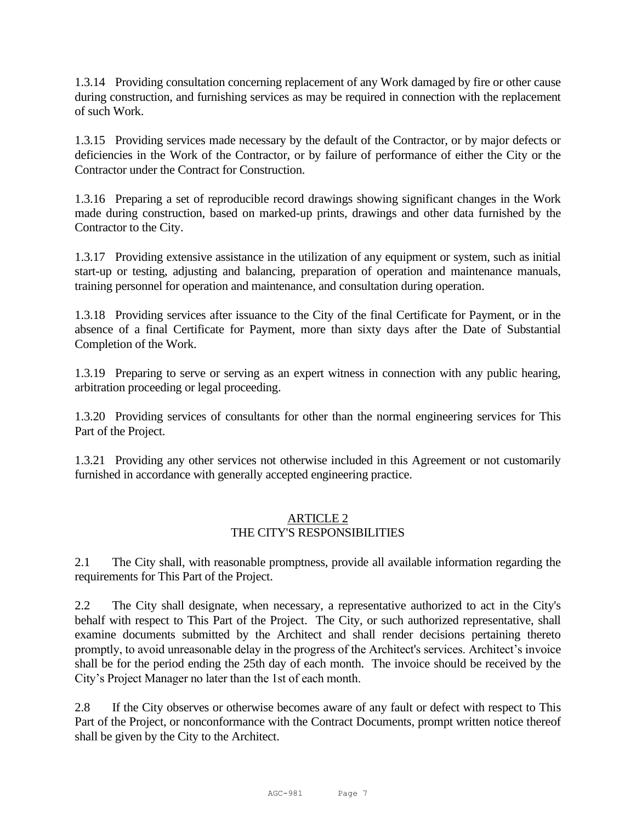1.3.14 Providing consultation concerning replacement of any Work damaged by fire or other cause during construction, and furnishing services as may be required in connection with the replacement of such Work.

1.3.15 Providing services made necessary by the default of the Contractor, or by major defects or deficiencies in the Work of the Contractor, or by failure of performance of either the City or the Contractor under the Contract for Construction.

1.3.16 Preparing a set of reproducible record drawings showing significant changes in the Work made during construction, based on marked-up prints, drawings and other data furnished by the Contractor to the City.

1.3.17 Providing extensive assistance in the utilization of any equipment or system, such as initial start-up or testing, adjusting and balancing, preparation of operation and maintenance manuals, training personnel for operation and maintenance, and consultation during operation.

1.3.18 Providing services after issuance to the City of the final Certificate for Payment, or in the absence of a final Certificate for Payment, more than sixty days after the Date of Substantial Completion of the Work.

1.3.19 Preparing to serve or serving as an expert witness in connection with any public hearing, arbitration proceeding or legal proceeding.

1.3.20 Providing services of consultants for other than the normal engineering services for This Part of the Project.

1.3.21 Providing any other services not otherwise included in this Agreement or not customarily furnished in accordance with generally accepted engineering practice.

## ARTICLE 2 THE CITY'S RESPONSIBILITIES

2.1 The City shall, with reasonable promptness, provide all available information regarding the requirements for This Part of the Project.

2.2 The City shall designate, when necessary, a representative authorized to act in the City's behalf with respect to This Part of the Project. The City, or such authorized representative, shall examine documents submitted by the Architect and shall render decisions pertaining thereto promptly, to avoid unreasonable delay in the progress of the Architect's services. Architect's invoice shall be for the period ending the 25th day of each month. The invoice should be received by the City's Project Manager no later than the 1st of each month.

2.8 If the City observes or otherwise becomes aware of any fault or defect with respect to This Part of the Project, or nonconformance with the Contract Documents, prompt written notice thereof shall be given by the City to the Architect.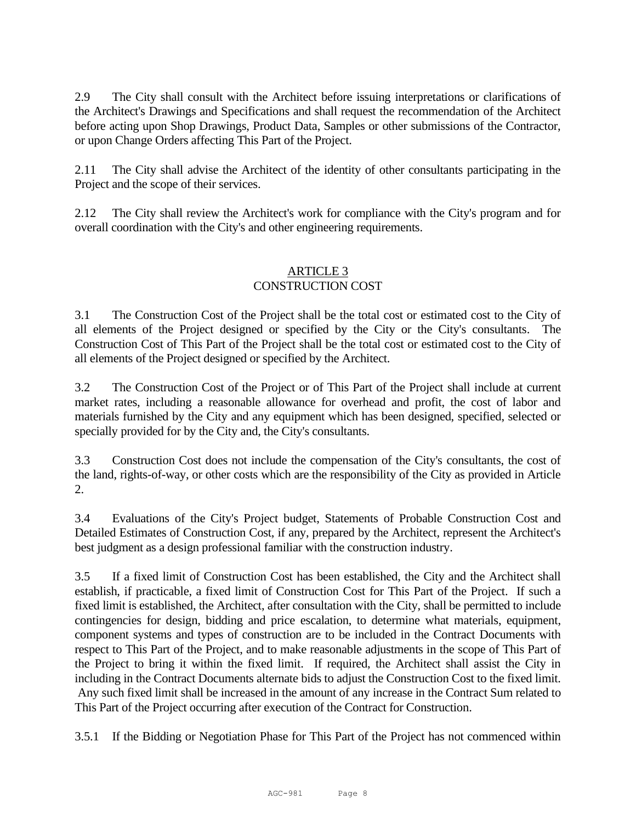2.9 The City shall consult with the Architect before issuing interpretations or clarifications of the Architect's Drawings and Specifications and shall request the recommendation of the Architect before acting upon Shop Drawings, Product Data, Samples or other submissions of the Contractor, or upon Change Orders affecting This Part of the Project.

2.11 The City shall advise the Architect of the identity of other consultants participating in the Project and the scope of their services.

2.12 The City shall review the Architect's work for compliance with the City's program and for overall coordination with the City's and other engineering requirements.

# ARTICLE 3 CONSTRUCTION COST

3.1 The Construction Cost of the Project shall be the total cost or estimated cost to the City of all elements of the Project designed or specified by the City or the City's consultants. The Construction Cost of This Part of the Project shall be the total cost or estimated cost to the City of all elements of the Project designed or specified by the Architect.

3.2 The Construction Cost of the Project or of This Part of the Project shall include at current market rates, including a reasonable allowance for overhead and profit, the cost of labor and materials furnished by the City and any equipment which has been designed, specified, selected or specially provided for by the City and, the City's consultants.

3.3 Construction Cost does not include the compensation of the City's consultants, the cost of the land, rights-of-way, or other costs which are the responsibility of the City as provided in Article 2.

3.4 Evaluations of the City's Project budget, Statements of Probable Construction Cost and Detailed Estimates of Construction Cost, if any, prepared by the Architect, represent the Architect's best judgment as a design professional familiar with the construction industry.

3.5 If a fixed limit of Construction Cost has been established, the City and the Architect shall establish, if practicable, a fixed limit of Construction Cost for This Part of the Project. If such a fixed limit is established, the Architect, after consultation with the City, shall be permitted to include contingencies for design, bidding and price escalation, to determine what materials, equipment, component systems and types of construction are to be included in the Contract Documents with respect to This Part of the Project, and to make reasonable adjustments in the scope of This Part of the Project to bring it within the fixed limit. If required, the Architect shall assist the City in including in the Contract Documents alternate bids to adjust the Construction Cost to the fixed limit. Any such fixed limit shall be increased in the amount of any increase in the Contract Sum related to This Part of the Project occurring after execution of the Contract for Construction.

3.5.1 If the Bidding or Negotiation Phase for This Part of the Project has not commenced within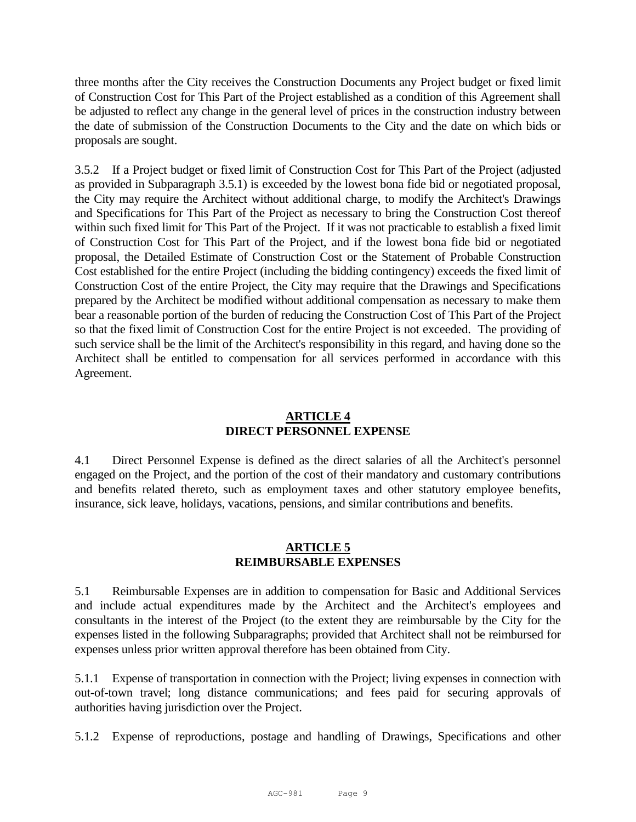three months after the City receives the Construction Documents any Project budget or fixed limit of Construction Cost for This Part of the Project established as a condition of this Agreement shall be adjusted to reflect any change in the general level of prices in the construction industry between the date of submission of the Construction Documents to the City and the date on which bids or proposals are sought.

3.5.2 If a Project budget or fixed limit of Construction Cost for This Part of the Project (adjusted as provided in Subparagraph 3.5.1) is exceeded by the lowest bona fide bid or negotiated proposal, the City may require the Architect without additional charge, to modify the Architect's Drawings and Specifications for This Part of the Project as necessary to bring the Construction Cost thereof within such fixed limit for This Part of the Project. If it was not practicable to establish a fixed limit of Construction Cost for This Part of the Project, and if the lowest bona fide bid or negotiated proposal, the Detailed Estimate of Construction Cost or the Statement of Probable Construction Cost established for the entire Project (including the bidding contingency) exceeds the fixed limit of Construction Cost of the entire Project, the City may require that the Drawings and Specifications prepared by the Architect be modified without additional compensation as necessary to make them bear a reasonable portion of the burden of reducing the Construction Cost of This Part of the Project so that the fixed limit of Construction Cost for the entire Project is not exceeded. The providing of such service shall be the limit of the Architect's responsibility in this regard, and having done so the Architect shall be entitled to compensation for all services performed in accordance with this Agreement.

# **ARTICLE 4 DIRECT PERSONNEL EXPENSE**

4.1 Direct Personnel Expense is defined as the direct salaries of all the Architect's personnel engaged on the Project, and the portion of the cost of their mandatory and customary contributions and benefits related thereto, such as employment taxes and other statutory employee benefits, insurance, sick leave, holidays, vacations, pensions, and similar contributions and benefits.

# **ARTICLE 5 REIMBURSABLE EXPENSES**

5.1 Reimbursable Expenses are in addition to compensation for Basic and Additional Services and include actual expenditures made by the Architect and the Architect's employees and consultants in the interest of the Project (to the extent they are reimbursable by the City for the expenses listed in the following Subparagraphs; provided that Architect shall not be reimbursed for expenses unless prior written approval therefore has been obtained from City.

5.1.1 Expense of transportation in connection with the Project; living expenses in connection with out-of-town travel; long distance communications; and fees paid for securing approvals of authorities having jurisdiction over the Project.

5.1.2 Expense of reproductions, postage and handling of Drawings, Specifications and other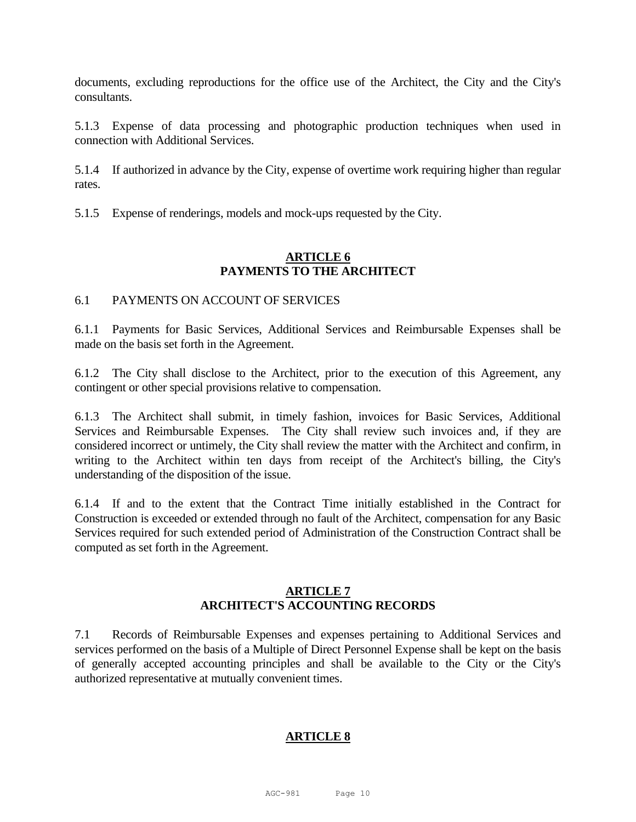documents, excluding reproductions for the office use of the Architect, the City and the City's consultants.

5.1.3 Expense of data processing and photographic production techniques when used in connection with Additional Services.

5.1.4 If authorized in advance by the City, expense of overtime work requiring higher than regular rates.

5.1.5 Expense of renderings, models and mock-ups requested by the City.

# **ARTICLE 6 PAYMENTS TO THE ARCHITECT**

# 6.1 PAYMENTS ON ACCOUNT OF SERVICES

6.1.1 Payments for Basic Services, Additional Services and Reimbursable Expenses shall be made on the basis set forth in the Agreement.

6.1.2 The City shall disclose to the Architect, prior to the execution of this Agreement, any contingent or other special provisions relative to compensation.

6.1.3 The Architect shall submit, in timely fashion, invoices for Basic Services, Additional Services and Reimbursable Expenses. The City shall review such invoices and, if they are considered incorrect or untimely, the City shall review the matter with the Architect and confirm, in writing to the Architect within ten days from receipt of the Architect's billing, the City's understanding of the disposition of the issue.

6.1.4 If and to the extent that the Contract Time initially established in the Contract for Construction is exceeded or extended through no fault of the Architect, compensation for any Basic Services required for such extended period of Administration of the Construction Contract shall be computed as set forth in the Agreement.

## **ARTICLE 7 ARCHITECT'S ACCOUNTING RECORDS**

7.1 Records of Reimbursable Expenses and expenses pertaining to Additional Services and services performed on the basis of a Multiple of Direct Personnel Expense shall be kept on the basis of generally accepted accounting principles and shall be available to the City or the City's authorized representative at mutually convenient times.

# **ARTICLE 8**